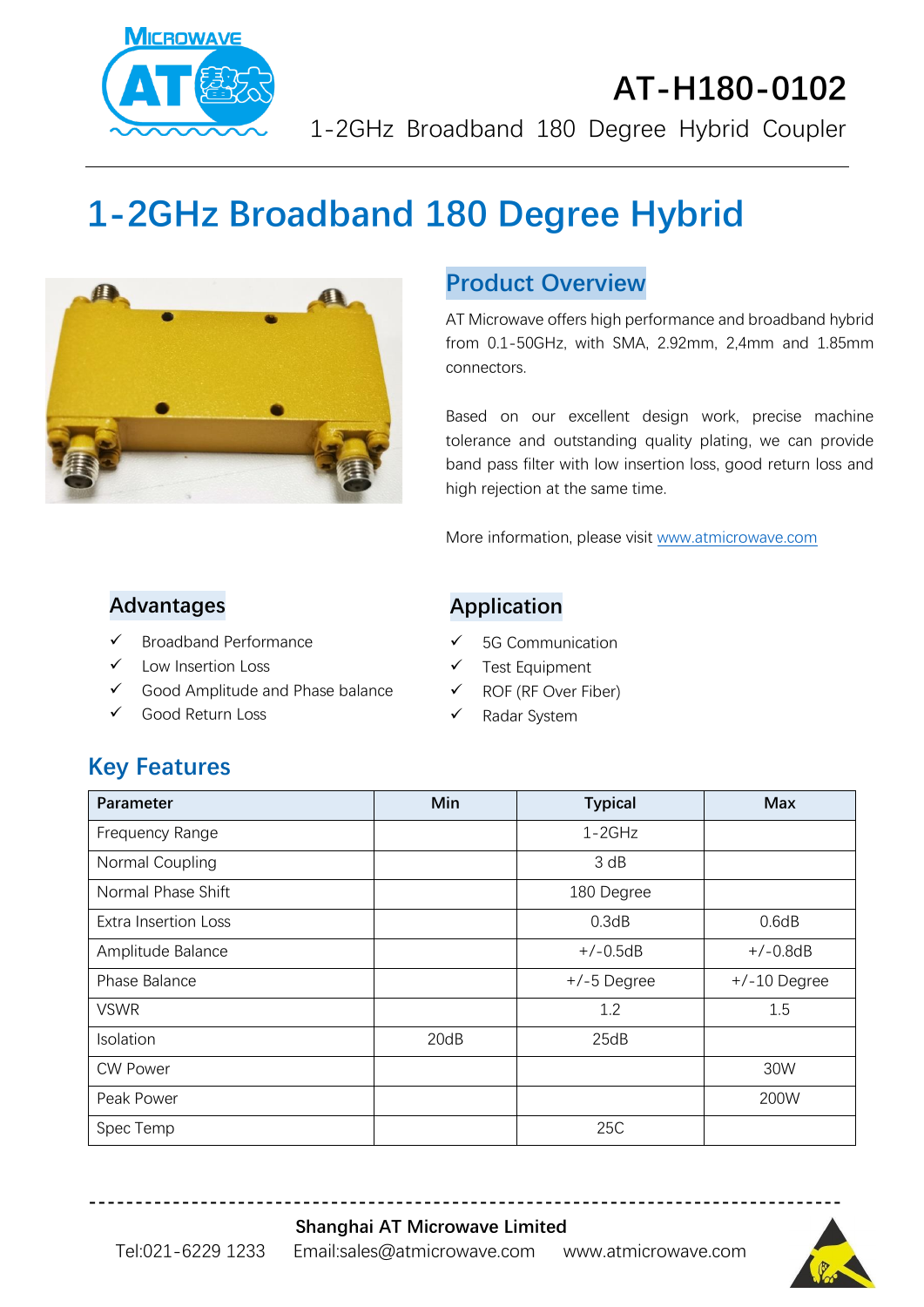

# **AT-H180-0102** 1-2GHz Broadband 180 Degree Hybrid Coupler

# **1-2GHz Broadband 180 Degree Hybrid**



#### **Product Overview**

AT Microwave offers high performance and broadband hybrid from 0.1-50GHz, with SMA, 2.92mm, 2,4mm and 1.85mm connectors.

Based on our excellent design work, precise machine tolerance and outstanding quality plating, we can provide band pass filter with low insertion loss, good return loss and high rejection at the same time.

More information, please visit [www.atmicrowave.com](http://www.atmicrowave.com/)

#### **Advantages**

- ✓ Broadband Performance
- ✓ Low Insertion Loss
- ✓ Good Amplitude and Phase balance
- ✓ Good Return Loss

#### **Application**

- ✓ 5G Communication
- Test Equipment
- ✓ ROF (RF Over Fiber)
- ✓ Radar System

# **Key Features**

| Parameter                   | Min  | <b>Typical</b> | <b>Max</b>     |
|-----------------------------|------|----------------|----------------|
| Frequency Range             |      | $1-2GHz$       |                |
| Normal Coupling             |      | 3 dB           |                |
| Normal Phase Shift          |      | 180 Degree     |                |
| <b>Extra Insertion Loss</b> |      | 0.3dB          | 0.6dB          |
| Amplitude Balance           |      | $+/-0.5dB$     | $+/-0.8dB$     |
| Phase Balance               |      | $+/-5$ Degree  | $+/-10$ Degree |
| <b>VSWR</b>                 |      | 1.2            | 1.5            |
| Isolation                   | 20dB | 25dB           |                |
| <b>CW Power</b>             |      |                | 30W            |
| Peak Power                  |      |                | 200W           |
| Spec Temp                   |      | 25C            |                |

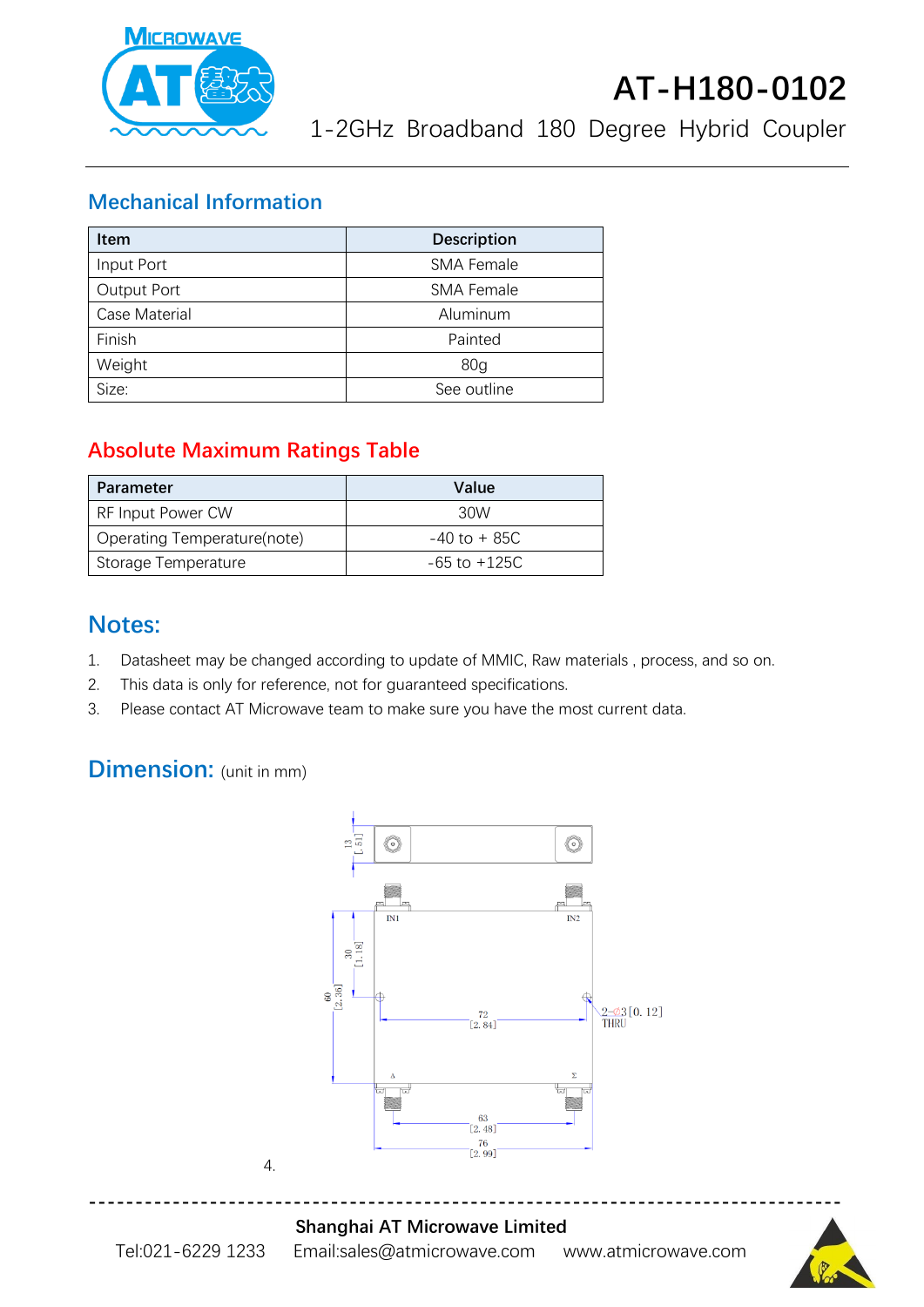

# **AT-H180-0102**

1-2GHz Broadband 180 Degree Hybrid Coupler

#### **Mechanical Information**

| <b>Item</b>   | <b>Description</b> |  |
|---------------|--------------------|--|
| Input Port    | <b>SMA Female</b>  |  |
| Output Port   | <b>SMA Female</b>  |  |
| Case Material | Aluminum           |  |
| Finish        | Painted            |  |
| Weight        | 80 <sub>q</sub>    |  |
| Size:         | See outline        |  |

### **Absolute Maximum Ratings Table**

| Parameter                   | Value            |
|-----------------------------|------------------|
| RF Input Power CW           | 30W              |
| Operating Temperature(note) | $-40$ to $+85C$  |
| Storage Temperature         | $-65$ to $+125C$ |

### **Notes:**

- 1. Datasheet may be changed according to update of MMIC, Raw materials , process, and so on.
- 2. This data is only for reference, not for guaranteed specifications.
- 3. Please contact AT Microwave team to make sure you have the most current data.

## **Dimension:** (unit in mm)